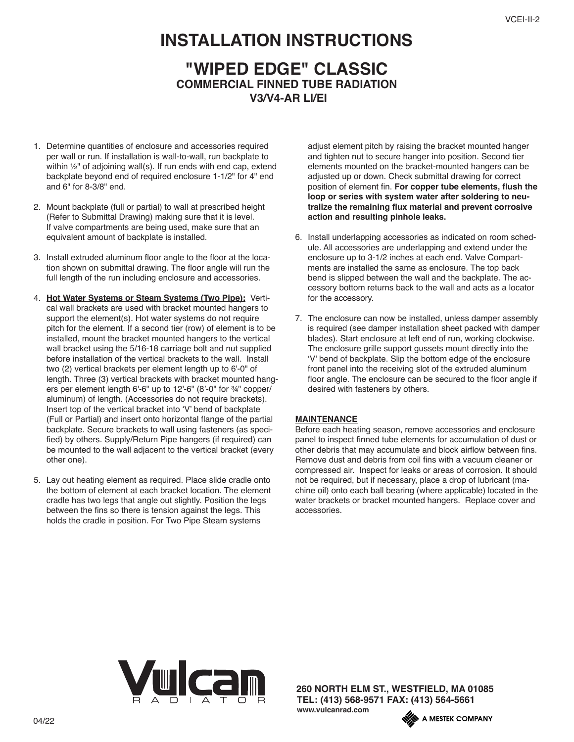## **INSTALLATION INSTRUCTIONS**

## **"WIPED EDGE" CLASSIC COMMERCIAL FINNED TUBE RADIATION V3/V4-AR LI/EI**

- 1. Determine quantities of enclosure and accessories required per wall or run. If installation is wall-to-wall, run backplate to within ½" of adjoining wall(s). If run ends with end cap, extend backplate beyond end of required enclosure 1-1/2" for 4" end and 6" for 8-3/8" end.
- 2. Mount backplate (full or partial) to wall at prescribed height (Refer to Submittal Drawing) making sure that it is level. If valve compartments are being used, make sure that an equivalent amount of backplate is installed.
- 3. Install extruded aluminum floor angle to the floor at the location shown on submittal drawing. The floor angle will run the full length of the run including enclosure and accessories.
- 4. **Hot Water Systems or Steam Systems (Two Pipe):** Vertical wall brackets are used with bracket mounted hangers to support the element(s). Hot water systems do not require pitch for the element. If a second tier (row) of element is to be installed, mount the bracket mounted hangers to the vertical wall bracket using the 5/16-18 carriage bolt and nut supplied before installation of the vertical brackets to the wall. Install two (2) vertical brackets per element length up to 6'-0" of length. Three (3) vertical brackets with bracket mounted hangers per element length 6'-6" up to 12'-6" (8'-0" for ¾" copper/ aluminum) of length. (Accessories do not require brackets). Insert top of the vertical bracket into 'V' bend of backplate (Full or Partial) and insert onto horizontal flange of the partial backplate. Secure brackets to wall using fasteners (as specified) by others. Supply/Return Pipe hangers (if required) can be mounted to the wall adjacent to the vertical bracket (every other one).
- 5. Lay out heating element as required. Place slide cradle onto the bottom of element at each bracket location. The element cradle has two legs that angle out slightly. Position the legs between the fins so there is tension against the legs. This holds the cradle in position. For Two Pipe Steam systems

adjust element pitch by raising the bracket mounted hanger and tighten nut to secure hanger into position. Second tier elements mounted on the bracket-mounted hangers can be adjusted up or down. Check submittal drawing for correct position of element fin. **For copper tube elements, flush the loop or series with system water after soldering to neutralize the remaining flux material and prevent corrosive action and resulting pinhole leaks.**

- 6. Install underlapping accessories as indicated on room schedule. All accessories are underlapping and extend under the enclosure up to 3-1/2 inches at each end. Valve Compartments are installed the same as enclosure. The top back bend is slipped between the wall and the backplate. The accessory bottom returns back to the wall and acts as a locator for the accessory.
- 7. The enclosure can now be installed, unless damper assembly is required (see damper installation sheet packed with damper blades). Start enclosure at left end of run, working clockwise. The enclosure grille support gussets mount directly into the 'V' bend of backplate. Slip the bottom edge of the enclosure front panel into the receiving slot of the extruded aluminum floor angle. The enclosure can be secured to the floor angle if desired with fasteners by others.

## **MAINTENANCE**

Before each heating season, remove accessories and enclosure panel to inspect finned tube elements for accumulation of dust or other debris that may accumulate and block airflow between fins. Remove dust and debris from coil fins with a vacuum cleaner or compressed air. Inspect for leaks or areas of corrosion. It should not be required, but if necessary, place a drop of lubricant (machine oil) onto each ball bearing (where applicable) located in the water brackets or bracket mounted hangers. Replace cover and accessories.